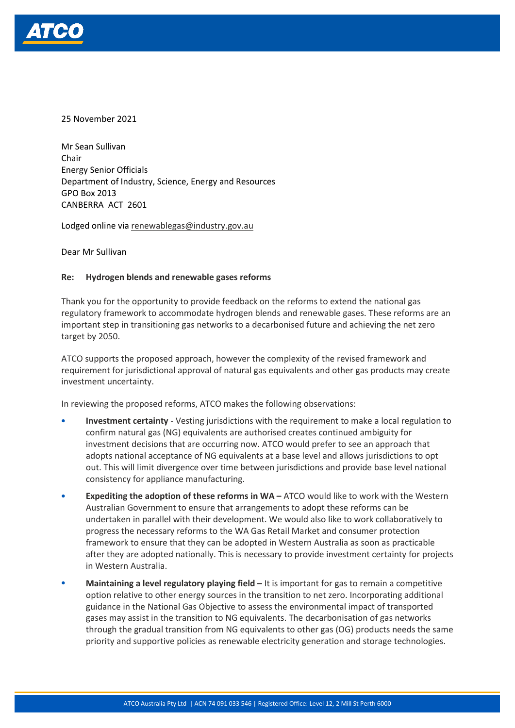

25 November 2021

Mr Sean Sullivan Chair Energy Senior Officials Department of Industry, Science, Energy and Resources GPO Box 2013 CANBERRA ACT 2601

Lodged online vi[a renewablegas@industry.gov.au](mailto:renewablegas@industry.gov.au)

Dear Mr Sullivan

#### **Re: Hydrogen blends and renewable gases reforms**

Thank you for the opportunity to provide feedback on the reforms to extend the national gas regulatory framework to accommodate hydrogen blends and renewable gases. These reforms are an important step in transitioning gas networks to a decarbonised future and achieving the net zero target by 2050.

ATCO supports the proposed approach, however the complexity of the revised framework and requirement for jurisdictional approval of natural gas equivalents and other gas products may create investment uncertainty.

In reviewing the proposed reforms, ATCO makes the following observations:

- **Investment certainty** Vesting jurisdictions with the requirement to make a local regulation to confirm natural gas (NG) equivalents are authorised creates continued ambiguity for investment decisions that are occurring now. ATCO would prefer to see an approach that adopts national acceptance of NG equivalents at a base level and allows jurisdictions to opt out. This will limit divergence over time between jurisdictions and provide base level national consistency for appliance manufacturing.
- **Expediting the adoption of these reforms in WA –** ATCO would like to work with the Western Australian Government to ensure that arrangements to adopt these reforms can be undertaken in parallel with their development. We would also like to work collaboratively to progress the necessary reforms to the WA Gas Retail Market and consumer protection framework to ensure that they can be adopted in Western Australia as soon as practicable after they are adopted nationally. This is necessary to provide investment certainty for projects in Western Australia.
- **Maintaining a level regulatory playing field –** It is important for gas to remain a competitive option relative to other energy sources in the transition to net zero. Incorporating additional guidance in the National Gas Objective to assess the environmental impact of transported gases may assist in the transition to NG equivalents. The decarbonisation of gas networks through the gradual transition from NG equivalents to other gas (OG) products needs the same priority and supportive policies as renewable electricity generation and storage technologies.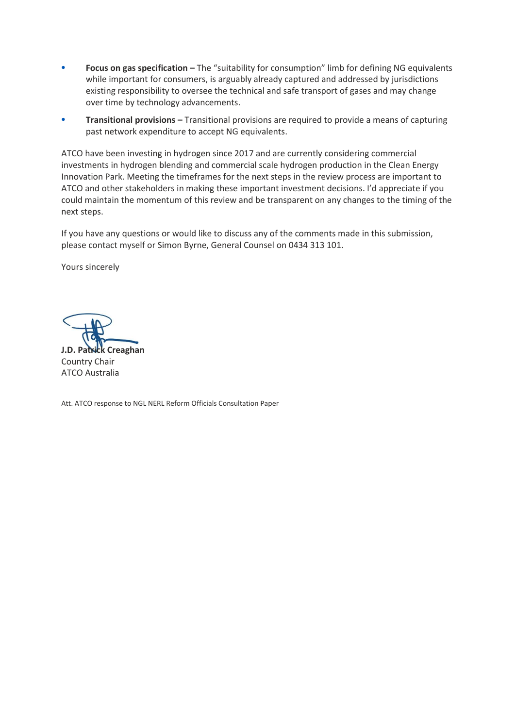- **Focus on gas specification –** The "suitability for consumption" limb for defining NG equivalents while important for consumers, is arguably already captured and addressed by jurisdictions existing responsibility to oversee the technical and safe transport of gases and may change over time by technology advancements.
- **Transitional provisions –** Transitional provisions are required to provide a means of capturing past network expenditure to accept NG equivalents.

ATCO have been investing in hydrogen since 2017 and are currently considering commercial investments in hydrogen blending and commercial scale hydrogen production in the Clean Energy Innovation Park. Meeting the timeframes for the next steps in the review process are important to ATCO and other stakeholders in making these important investment decisions. I'd appreciate if you could maintain the momentum of this review and be transparent on any changes to the timing of the next steps.

If you have any questions or would like to discuss any of the comments made in this submission, please contact myself or Simon Byrne, General Counsel on 0434 313 101.

Yours sincerely

**J.D. Patrick Creaghan** Country Chair

ATCO Australia

Att. ATCO response to NGL NERL Reform Officials Consultation Paper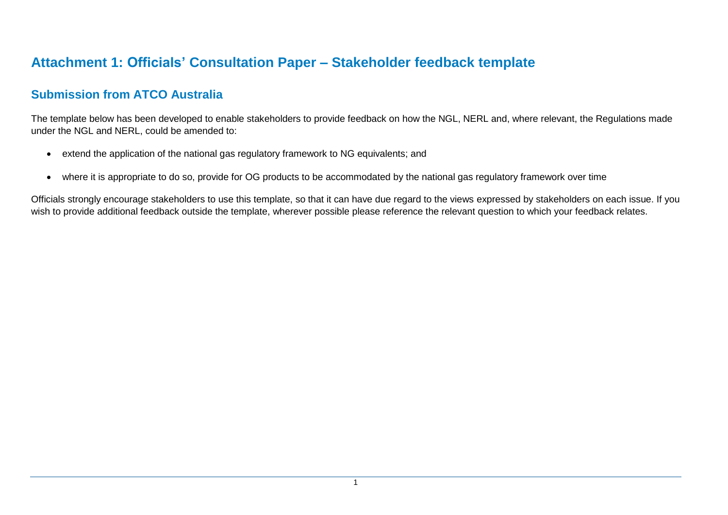# **Attachment 1: Officials' Consultation Paper – Stakeholder feedback template**

### **Submission from ATCO Australia**

The template below has been developed to enable stakeholders to provide feedback on how the NGL, NERL and, where relevant, the Regulations made under the NGL and NERL, could be amended to:

- extend the application of the national gas regulatory framework to NG equivalents; and
- where it is appropriate to do so, provide for OG products to be accommodated by the national gas regulatory framework over time

Officials strongly encourage stakeholders to use this template, so that it can have due regard to the views expressed by stakeholders on each issue. If you wish to provide additional feedback outside the template, wherever possible please reference the relevant question to which your feedback relates.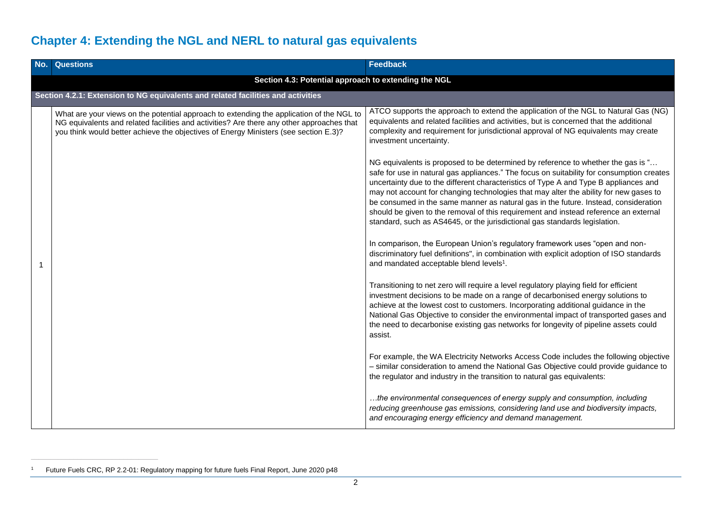# **Chapter 4: Extending the NGL and NERL to natural gas equivalents**

| No. | <b>Questions</b>                                                                                                                                                                                                                                                              | <b>Feedback</b>                                                                                                                                                                                                                                                                                                                                                                                                                                                                   |
|-----|-------------------------------------------------------------------------------------------------------------------------------------------------------------------------------------------------------------------------------------------------------------------------------|-----------------------------------------------------------------------------------------------------------------------------------------------------------------------------------------------------------------------------------------------------------------------------------------------------------------------------------------------------------------------------------------------------------------------------------------------------------------------------------|
|     | Section 4.3: Potential approach to extending the NGL                                                                                                                                                                                                                          |                                                                                                                                                                                                                                                                                                                                                                                                                                                                                   |
|     | Section 4.2.1: Extension to NG equivalents and related facilities and activities                                                                                                                                                                                              |                                                                                                                                                                                                                                                                                                                                                                                                                                                                                   |
|     | What are your views on the potential approach to extending the application of the NGL to<br>NG equivalents and related facilities and activities? Are there any other approaches that<br>you think would better achieve the objectives of Energy Ministers (see section E.3)? | ATCO supports the approach to extend the application of the NGL to Natural Gas (NG)<br>equivalents and related facilities and activities, but is concerned that the additional<br>complexity and requirement for jurisdictional approval of NG equivalents may create<br>investment uncertainty.<br>NG equivalents is proposed to be determined by reference to whether the gas is "<br>safe for use in natural gas appliances." The focus on suitability for consumption creates |
|     |                                                                                                                                                                                                                                                                               | uncertainty due to the different characteristics of Type A and Type B appliances and<br>may not account for changing technologies that may alter the ability for new gases to<br>be consumed in the same manner as natural gas in the future. Instead, consideration<br>should be given to the removal of this requirement and instead reference an external<br>standard, such as AS4645, or the jurisdictional gas standards legislation.                                        |
|     |                                                                                                                                                                                                                                                                               | In comparison, the European Union's regulatory framework uses "open and non-<br>discriminatory fuel definitions", in combination with explicit adoption of ISO standards<br>and mandated acceptable blend levels <sup>1</sup> .                                                                                                                                                                                                                                                   |
|     |                                                                                                                                                                                                                                                                               | Transitioning to net zero will require a level regulatory playing field for efficient<br>investment decisions to be made on a range of decarbonised energy solutions to<br>achieve at the lowest cost to customers. Incorporating additional guidance in the<br>National Gas Objective to consider the environmental impact of transported gases and<br>the need to decarbonise existing gas networks for longevity of pipeline assets could<br>assist.                           |
|     |                                                                                                                                                                                                                                                                               | For example, the WA Electricity Networks Access Code includes the following objective<br>- similar consideration to amend the National Gas Objective could provide guidance to<br>the regulator and industry in the transition to natural gas equivalents:                                                                                                                                                                                                                        |
|     |                                                                                                                                                                                                                                                                               | the environmental consequences of energy supply and consumption, including<br>reducing greenhouse gas emissions, considering land use and biodiversity impacts,<br>and encouraging energy efficiency and demand management.                                                                                                                                                                                                                                                       |

<sup>1</sup> Future Fuels CRC, RP 2.2-01: Regulatory mapping for future fuels Final Report, June 2020 p48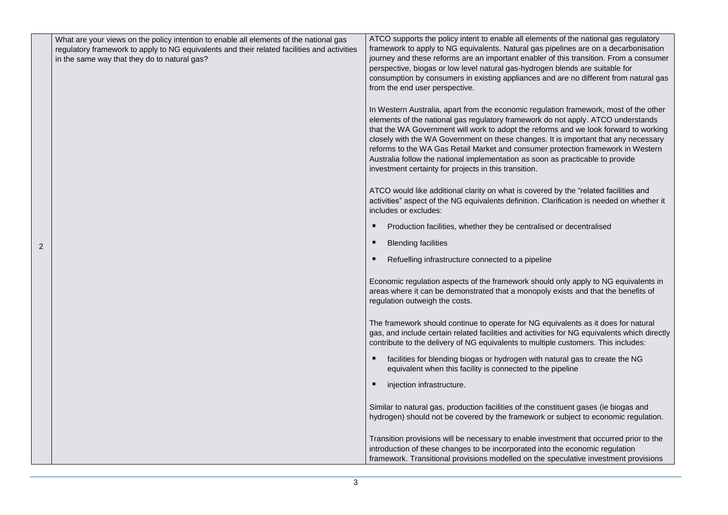|   | What are your views on the policy intention to enable all elements of the national gas<br>regulatory framework to apply to NG equivalents and their related facilities and activities<br>in the same way that they do to natural gas? | ATCO supports the policy intent to enable all elements of the national gas regulatory<br>framework to apply to NG equivalents. Natural gas pipelines are on a decarbonisation<br>journey and these reforms are an important enabler of this transition. From a consumer<br>perspective, biogas or low level natural gas-hydrogen blends are suitable for<br>consumption by consumers in existing appliances and are no different from natural gas<br>from the end user perspective.                                                                                                     |
|---|---------------------------------------------------------------------------------------------------------------------------------------------------------------------------------------------------------------------------------------|-----------------------------------------------------------------------------------------------------------------------------------------------------------------------------------------------------------------------------------------------------------------------------------------------------------------------------------------------------------------------------------------------------------------------------------------------------------------------------------------------------------------------------------------------------------------------------------------|
|   |                                                                                                                                                                                                                                       | In Western Australia, apart from the economic regulation framework, most of the other<br>elements of the national gas regulatory framework do not apply. ATCO understands<br>that the WA Government will work to adopt the reforms and we look forward to working<br>closely with the WA Government on these changes. It is important that any necessary<br>reforms to the WA Gas Retail Market and consumer protection framework in Western<br>Australia follow the national implementation as soon as practicable to provide<br>investment certainty for projects in this transition. |
|   |                                                                                                                                                                                                                                       | ATCO would like additional clarity on what is covered by the "related facilities and<br>activities" aspect of the NG equivalents definition. Clarification is needed on whether it<br>includes or excludes:                                                                                                                                                                                                                                                                                                                                                                             |
|   |                                                                                                                                                                                                                                       | Production facilities, whether they be centralised or decentralised<br>п                                                                                                                                                                                                                                                                                                                                                                                                                                                                                                                |
| 2 |                                                                                                                                                                                                                                       | <b>Blending facilities</b><br>п                                                                                                                                                                                                                                                                                                                                                                                                                                                                                                                                                         |
|   |                                                                                                                                                                                                                                       | Refuelling infrastructure connected to a pipeline                                                                                                                                                                                                                                                                                                                                                                                                                                                                                                                                       |
|   |                                                                                                                                                                                                                                       | Economic regulation aspects of the framework should only apply to NG equivalents in<br>areas where it can be demonstrated that a monopoly exists and that the benefits of<br>regulation outweigh the costs.                                                                                                                                                                                                                                                                                                                                                                             |
|   |                                                                                                                                                                                                                                       | The framework should continue to operate for NG equivalents as it does for natural<br>gas, and include certain related facilities and activities for NG equivalents which directly<br>contribute to the delivery of NG equivalents to multiple customers. This includes:                                                                                                                                                                                                                                                                                                                |
|   |                                                                                                                                                                                                                                       | facilities for blending biogas or hydrogen with natural gas to create the NG<br>п<br>equivalent when this facility is connected to the pipeline                                                                                                                                                                                                                                                                                                                                                                                                                                         |
|   |                                                                                                                                                                                                                                       | injection infrastructure.<br>$\blacksquare$                                                                                                                                                                                                                                                                                                                                                                                                                                                                                                                                             |
|   |                                                                                                                                                                                                                                       | Similar to natural gas, production facilities of the constituent gases (ie biogas and<br>hydrogen) should not be covered by the framework or subject to economic regulation.                                                                                                                                                                                                                                                                                                                                                                                                            |
|   |                                                                                                                                                                                                                                       | Transition provisions will be necessary to enable investment that occurred prior to the<br>introduction of these changes to be incorporated into the economic regulation<br>framework. Transitional provisions modelled on the speculative investment provisions                                                                                                                                                                                                                                                                                                                        |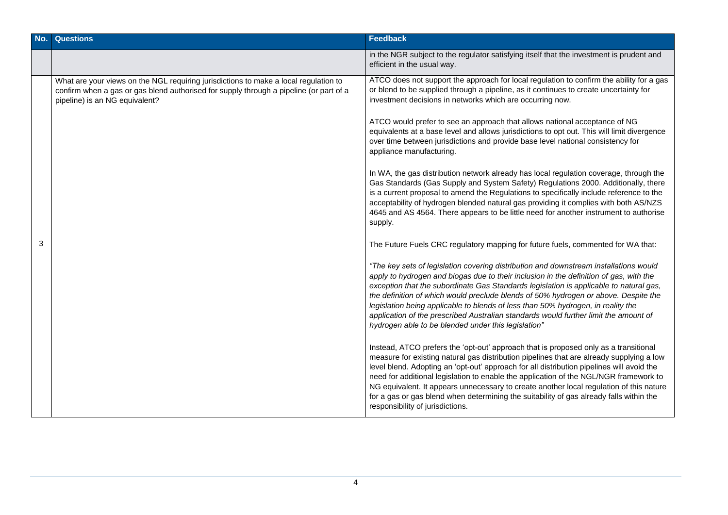| No. | <b>Questions</b>                                                                                                                                                                                                 | Feedback                                                                                                                                                                                                                                                                                                                                                                                                                                                                                                                                                                                                                                                                                                                                                                                                                                                                                                                                                                                                                                                                                                                                                                                                                                                                                    |
|-----|------------------------------------------------------------------------------------------------------------------------------------------------------------------------------------------------------------------|---------------------------------------------------------------------------------------------------------------------------------------------------------------------------------------------------------------------------------------------------------------------------------------------------------------------------------------------------------------------------------------------------------------------------------------------------------------------------------------------------------------------------------------------------------------------------------------------------------------------------------------------------------------------------------------------------------------------------------------------------------------------------------------------------------------------------------------------------------------------------------------------------------------------------------------------------------------------------------------------------------------------------------------------------------------------------------------------------------------------------------------------------------------------------------------------------------------------------------------------------------------------------------------------|
|     |                                                                                                                                                                                                                  | in the NGR subject to the regulator satisfying itself that the investment is prudent and<br>efficient in the usual way.                                                                                                                                                                                                                                                                                                                                                                                                                                                                                                                                                                                                                                                                                                                                                                                                                                                                                                                                                                                                                                                                                                                                                                     |
|     | What are your views on the NGL requiring jurisdictions to make a local regulation to<br>confirm when a gas or gas blend authorised for supply through a pipeline (or part of a<br>pipeline) is an NG equivalent? | ATCO does not support the approach for local regulation to confirm the ability for a gas<br>or blend to be supplied through a pipeline, as it continues to create uncertainty for<br>investment decisions in networks which are occurring now.<br>ATCO would prefer to see an approach that allows national acceptance of NG<br>equivalents at a base level and allows jurisdictions to opt out. This will limit divergence<br>over time between jurisdictions and provide base level national consistency for<br>appliance manufacturing.<br>In WA, the gas distribution network already has local regulation coverage, through the<br>Gas Standards (Gas Supply and System Safety) Regulations 2000. Additionally, there<br>is a current proposal to amend the Regulations to specifically include reference to the<br>acceptability of hydrogen blended natural gas providing it complies with both AS/NZS<br>4645 and AS 4564. There appears to be little need for another instrument to authorise<br>supply.                                                                                                                                                                                                                                                                           |
| 3   |                                                                                                                                                                                                                  | The Future Fuels CRC regulatory mapping for future fuels, commented for WA that:<br>"The key sets of legislation covering distribution and downstream installations would<br>apply to hydrogen and biogas due to their inclusion in the definition of gas, with the<br>exception that the subordinate Gas Standards legislation is applicable to natural gas,<br>the definition of which would preclude blends of 50% hydrogen or above. Despite the<br>legislation being applicable to blends of less than 50% hydrogen, in reality the<br>application of the prescribed Australian standards would further limit the amount of<br>hydrogen able to be blended under this legislation"<br>Instead, ATCO prefers the 'opt-out' approach that is proposed only as a transitional<br>measure for existing natural gas distribution pipelines that are already supplying a low<br>level blend. Adopting an 'opt-out' approach for all distribution pipelines will avoid the<br>need for additional legislation to enable the application of the NGL/NGR framework to<br>NG equivalent. It appears unnecessary to create another local regulation of this nature<br>for a gas or gas blend when determining the suitability of gas already falls within the<br>responsibility of jurisdictions. |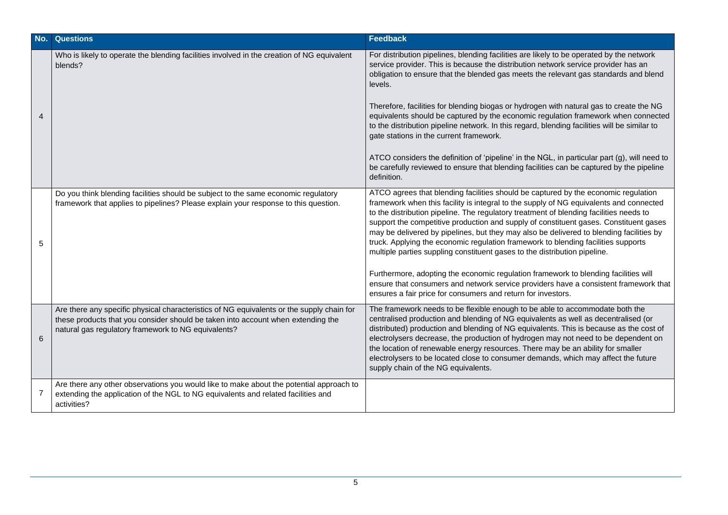| No.            | <b>Questions</b>                                                                                                                                                                                                                     | Feedback                                                                                                                                                                                                                                                                                                                                                                                                                                                                                                                                                                                                                                                                                                                                                                                                                                                                    |
|----------------|--------------------------------------------------------------------------------------------------------------------------------------------------------------------------------------------------------------------------------------|-----------------------------------------------------------------------------------------------------------------------------------------------------------------------------------------------------------------------------------------------------------------------------------------------------------------------------------------------------------------------------------------------------------------------------------------------------------------------------------------------------------------------------------------------------------------------------------------------------------------------------------------------------------------------------------------------------------------------------------------------------------------------------------------------------------------------------------------------------------------------------|
| $\overline{A}$ | Who is likely to operate the blending facilities involved in the creation of NG equivalent<br>blends?                                                                                                                                | For distribution pipelines, blending facilities are likely to be operated by the network<br>service provider. This is because the distribution network service provider has an<br>obligation to ensure that the blended gas meets the relevant gas standards and blend<br>levels.<br>Therefore, facilities for blending biogas or hydrogen with natural gas to create the NG<br>equivalents should be captured by the economic regulation framework when connected<br>to the distribution pipeline network. In this regard, blending facilities will be similar to<br>gate stations in the current framework.<br>ATCO considers the definition of 'pipeline' in the NGL, in particular part (g), will need to<br>be carefully reviewed to ensure that blending facilities can be captured by the pipeline<br>definition.                                                    |
| 5              | Do you think blending facilities should be subject to the same economic regulatory<br>framework that applies to pipelines? Please explain your response to this question.                                                            | ATCO agrees that blending facilities should be captured by the economic regulation<br>framework when this facility is integral to the supply of NG equivalents and connected<br>to the distribution pipeline. The regulatory treatment of blending facilities needs to<br>support the competitive production and supply of constituent gases. Constituent gases<br>may be delivered by pipelines, but they may also be delivered to blending facilities by<br>truck. Applying the economic regulation framework to blending facilities supports<br>multiple parties suppling constituent gases to the distribution pipeline.<br>Furthermore, adopting the economic regulation framework to blending facilities will<br>ensure that consumers and network service providers have a consistent framework that<br>ensures a fair price for consumers and return for investors. |
| 6              | Are there any specific physical characteristics of NG equivalents or the supply chain for<br>these products that you consider should be taken into account when extending the<br>natural gas regulatory framework to NG equivalents? | The framework needs to be flexible enough to be able to accommodate both the<br>centralised production and blending of NG equivalents as well as decentralised (or<br>distributed) production and blending of NG equivalents. This is because as the cost of<br>electrolysers decrease, the production of hydrogen may not need to be dependent on<br>the location of renewable energy resources. There may be an ability for smaller<br>electrolysers to be located close to consumer demands, which may affect the future<br>supply chain of the NG equivalents.                                                                                                                                                                                                                                                                                                          |
| $\overline{7}$ | Are there any other observations you would like to make about the potential approach to<br>extending the application of the NGL to NG equivalents and related facilities and<br>activities?                                          |                                                                                                                                                                                                                                                                                                                                                                                                                                                                                                                                                                                                                                                                                                                                                                                                                                                                             |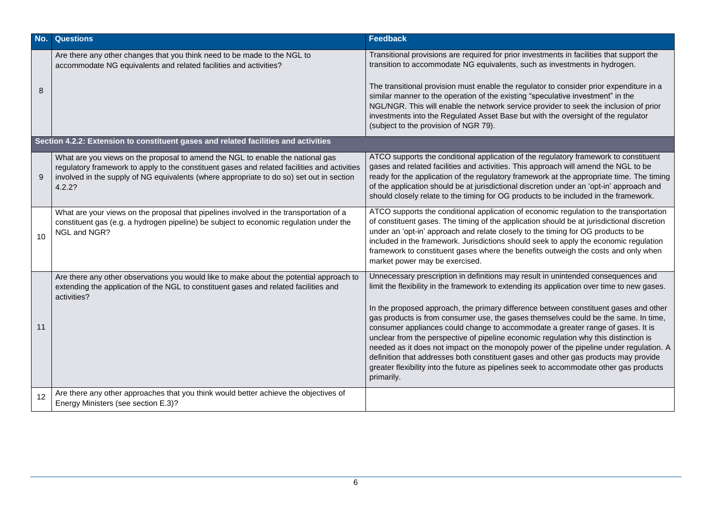| No. | <b>Questions</b>                                                                                                                                                                                                                                                                     | <b>Feedback</b>                                                                                                                                                                                                                                                                                                                                                                                                                                                                                                                                                                                                                                                                                                                                                                                                                      |  |
|-----|--------------------------------------------------------------------------------------------------------------------------------------------------------------------------------------------------------------------------------------------------------------------------------------|--------------------------------------------------------------------------------------------------------------------------------------------------------------------------------------------------------------------------------------------------------------------------------------------------------------------------------------------------------------------------------------------------------------------------------------------------------------------------------------------------------------------------------------------------------------------------------------------------------------------------------------------------------------------------------------------------------------------------------------------------------------------------------------------------------------------------------------|--|
| 8   | Are there any other changes that you think need to be made to the NGL to<br>accommodate NG equivalents and related facilities and activities?                                                                                                                                        | Transitional provisions are required for prior investments in facilities that support the<br>transition to accommodate NG equivalents, such as investments in hydrogen.<br>The transitional provision must enable the regulator to consider prior expenditure in a<br>similar manner to the operation of the existing "speculative investment" in the<br>NGL/NGR. This will enable the network service provider to seek the inclusion of prior<br>investments into the Regulated Asset Base but with the oversight of the regulator<br>(subject to the provision of NGR 79).                                                                                                                                                                                                                                                         |  |
|     | Section 4.2.2: Extension to constituent gases and related facilities and activities                                                                                                                                                                                                  |                                                                                                                                                                                                                                                                                                                                                                                                                                                                                                                                                                                                                                                                                                                                                                                                                                      |  |
| 9   | What are you views on the proposal to amend the NGL to enable the national gas<br>regulatory framework to apply to the constituent gases and related facilities and activities<br>involved in the supply of NG equivalents (where appropriate to do so) set out in section<br>4.2.2? | ATCO supports the conditional application of the regulatory framework to constituent<br>gases and related facilities and activities. This approach will amend the NGL to be<br>ready for the application of the regulatory framework at the appropriate time. The timing<br>of the application should be at jurisdictional discretion under an 'opt-in' approach and<br>should closely relate to the timing for OG products to be included in the framework.                                                                                                                                                                                                                                                                                                                                                                         |  |
| 10  | What are your views on the proposal that pipelines involved in the transportation of a<br>constituent gas (e.g. a hydrogen pipeline) be subject to economic regulation under the<br>NGL and NGR?                                                                                     | ATCO supports the conditional application of economic regulation to the transportation<br>of constituent gases. The timing of the application should be at jurisdictional discretion<br>under an 'opt-in' approach and relate closely to the timing for OG products to be<br>included in the framework. Jurisdictions should seek to apply the economic regulation<br>framework to constituent gases where the benefits outweigh the costs and only when<br>market power may be exercised.                                                                                                                                                                                                                                                                                                                                           |  |
| 11  | Are there any other observations you would like to make about the potential approach to<br>extending the application of the NGL to constituent gases and related facilities and<br>activities?                                                                                       | Unnecessary prescription in definitions may result in unintended consequences and<br>limit the flexibility in the framework to extending its application over time to new gases.<br>In the proposed approach, the primary difference between constituent gases and other<br>gas products is from consumer use, the gases themselves could be the same. In time,<br>consumer appliances could change to accommodate a greater range of gases. It is<br>unclear from the perspective of pipeline economic regulation why this distinction is<br>needed as it does not impact on the monopoly power of the pipeline under regulation. A<br>definition that addresses both constituent gases and other gas products may provide<br>greater flexibility into the future as pipelines seek to accommodate other gas products<br>primarily. |  |
| 12  | Are there any other approaches that you think would better achieve the objectives of<br>Energy Ministers (see section E.3)?                                                                                                                                                          |                                                                                                                                                                                                                                                                                                                                                                                                                                                                                                                                                                                                                                                                                                                                                                                                                                      |  |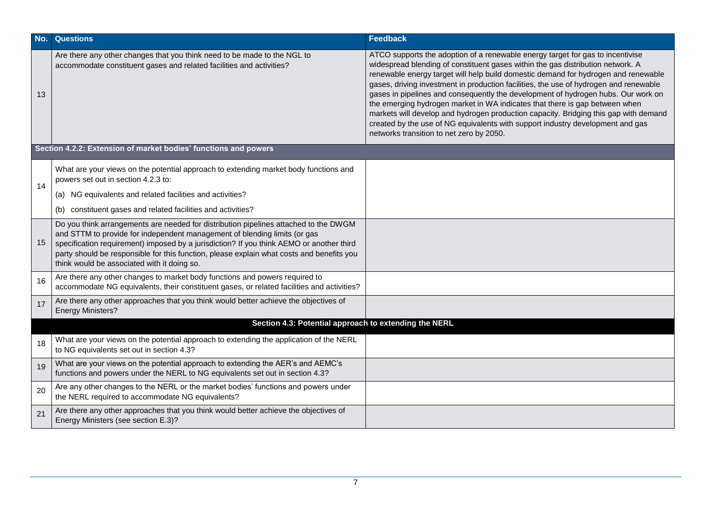| No. | <b>Questions</b>                                                                                                                                                                                                                                                                                                                                                                                          | <b>Feedback</b>                                                                                                                                                                                                                                                                                                                                                                                                                                                                                                                                                                                                                                                                                                                            |  |
|-----|-----------------------------------------------------------------------------------------------------------------------------------------------------------------------------------------------------------------------------------------------------------------------------------------------------------------------------------------------------------------------------------------------------------|--------------------------------------------------------------------------------------------------------------------------------------------------------------------------------------------------------------------------------------------------------------------------------------------------------------------------------------------------------------------------------------------------------------------------------------------------------------------------------------------------------------------------------------------------------------------------------------------------------------------------------------------------------------------------------------------------------------------------------------------|--|
| 13  | Are there any other changes that you think need to be made to the NGL to<br>accommodate constituent gases and related facilities and activities?                                                                                                                                                                                                                                                          | ATCO supports the adoption of a renewable energy target for gas to incentivise<br>widespread blending of constituent gases within the gas distribution network. A<br>renewable energy target will help build domestic demand for hydrogen and renewable<br>gases, driving investment in production facilities, the use of hydrogen and renewable<br>gases in pipelines and consequently the development of hydrogen hubs. Our work on<br>the emerging hydrogen market in WA indicates that there is gap between when<br>markets will develop and hydrogen production capacity. Bridging this gap with demand<br>created by the use of NG equivalents with support industry development and gas<br>networks transition to net zero by 2050. |  |
|     | Section 4.2.2: Extension of market bodies' functions and powers                                                                                                                                                                                                                                                                                                                                           |                                                                                                                                                                                                                                                                                                                                                                                                                                                                                                                                                                                                                                                                                                                                            |  |
| 14  | What are your views on the potential approach to extending market body functions and<br>powers set out in section 4.2.3 to:                                                                                                                                                                                                                                                                               |                                                                                                                                                                                                                                                                                                                                                                                                                                                                                                                                                                                                                                                                                                                                            |  |
|     | (a) NG equivalents and related facilities and activities?                                                                                                                                                                                                                                                                                                                                                 |                                                                                                                                                                                                                                                                                                                                                                                                                                                                                                                                                                                                                                                                                                                                            |  |
|     | constituent gases and related facilities and activities?                                                                                                                                                                                                                                                                                                                                                  |                                                                                                                                                                                                                                                                                                                                                                                                                                                                                                                                                                                                                                                                                                                                            |  |
| 15  | Do you think arrangements are needed for distribution pipelines attached to the DWGM<br>and STTM to provide for independent management of blending limits (or gas<br>specification requirement) imposed by a jurisdiction? If you think AEMO or another third<br>party should be responsible for this function, please explain what costs and benefits you<br>think would be associated with it doing so. |                                                                                                                                                                                                                                                                                                                                                                                                                                                                                                                                                                                                                                                                                                                                            |  |
| 16  | Are there any other changes to market body functions and powers required to<br>accommodate NG equivalents, their constituent gases, or related facilities and activities?                                                                                                                                                                                                                                 |                                                                                                                                                                                                                                                                                                                                                                                                                                                                                                                                                                                                                                                                                                                                            |  |
| 17  | Are there any other approaches that you think would better achieve the objectives of<br><b>Energy Ministers?</b>                                                                                                                                                                                                                                                                                          |                                                                                                                                                                                                                                                                                                                                                                                                                                                                                                                                                                                                                                                                                                                                            |  |
|     | Section 4.3: Potential approach to extending the NERL                                                                                                                                                                                                                                                                                                                                                     |                                                                                                                                                                                                                                                                                                                                                                                                                                                                                                                                                                                                                                                                                                                                            |  |
| 18  | What are your views on the potential approach to extending the application of the NERL<br>to NG equivalents set out in section 4.3?                                                                                                                                                                                                                                                                       |                                                                                                                                                                                                                                                                                                                                                                                                                                                                                                                                                                                                                                                                                                                                            |  |
| 19  | What are your views on the potential approach to extending the AER's and AEMC's<br>functions and powers under the NERL to NG equivalents set out in section 4.3?                                                                                                                                                                                                                                          |                                                                                                                                                                                                                                                                                                                                                                                                                                                                                                                                                                                                                                                                                                                                            |  |
| 20  | Are any other changes to the NERL or the market bodies' functions and powers under<br>the NERL required to accommodate NG equivalents?                                                                                                                                                                                                                                                                    |                                                                                                                                                                                                                                                                                                                                                                                                                                                                                                                                                                                                                                                                                                                                            |  |
| 21  | Are there any other approaches that you think would better achieve the objectives of<br>Energy Ministers (see section E.3)?                                                                                                                                                                                                                                                                               |                                                                                                                                                                                                                                                                                                                                                                                                                                                                                                                                                                                                                                                                                                                                            |  |